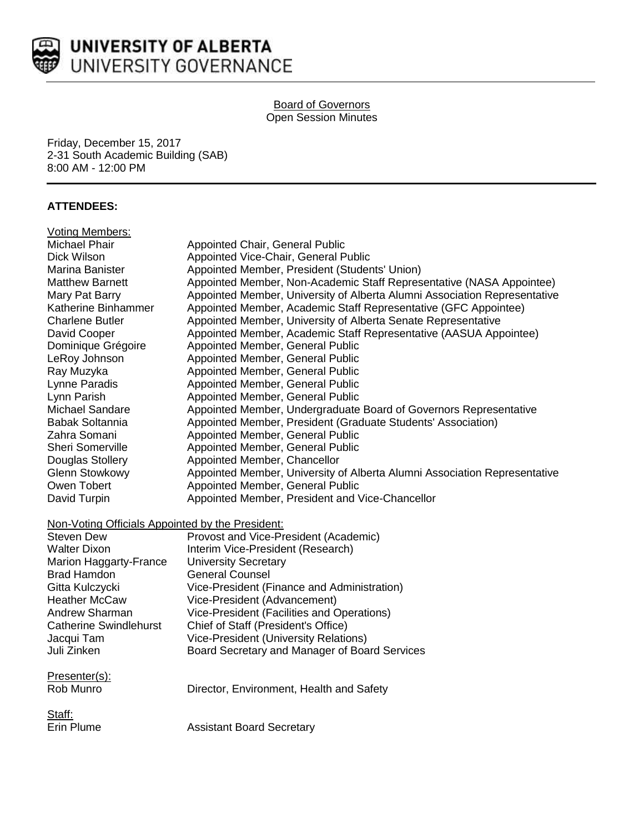

### **Board of Governors** Open Session Minutes

Friday, December 15, 2017 2-31 South Academic Building (SAB) 8:00 AM - 12:00 PM

## **ATTENDEES:**

| <b>Voting Members:</b>                           |                                                                           |
|--------------------------------------------------|---------------------------------------------------------------------------|
| Michael Phair                                    | Appointed Chair, General Public                                           |
| Dick Wilson                                      | Appointed Vice-Chair, General Public                                      |
| Marina Banister                                  | Appointed Member, President (Students' Union)                             |
| <b>Matthew Barnett</b>                           | Appointed Member, Non-Academic Staff Representative (NASA Appointee)      |
| Mary Pat Barry                                   | Appointed Member, University of Alberta Alumni Association Representative |
| Katherine Binhammer                              | Appointed Member, Academic Staff Representative (GFC Appointee)           |
| <b>Charlene Butler</b>                           | Appointed Member, University of Alberta Senate Representative             |
| David Cooper                                     | Appointed Member, Academic Staff Representative (AASUA Appointee)         |
| Dominique Grégoire                               | Appointed Member, General Public                                          |
| LeRoy Johnson                                    | Appointed Member, General Public                                          |
| Ray Muzyka                                       | Appointed Member, General Public                                          |
| Lynne Paradis                                    | Appointed Member, General Public                                          |
| Lynn Parish                                      | Appointed Member, General Public                                          |
| Michael Sandare                                  | Appointed Member, Undergraduate Board of Governors Representative         |
| Babak Soltannia                                  | Appointed Member, President (Graduate Students' Association)              |
| Zahra Somani                                     | Appointed Member, General Public                                          |
| <b>Sheri Somerville</b>                          | Appointed Member, General Public                                          |
| Douglas Stollery                                 | Appointed Member, Chancellor                                              |
| <b>Glenn Stowkowy</b>                            | Appointed Member, University of Alberta Alumni Association Representative |
| Owen Tobert                                      | Appointed Member, General Public                                          |
| David Turpin                                     | Appointed Member, President and Vice-Chancellor                           |
| Non-Voting Officials Appointed by the President: |                                                                           |
| <b>Steven Dew</b>                                | Provost and Vice-President (Academic)                                     |
| <b>Walter Dixon</b>                              | Interim Vice-President (Research)                                         |
| Marion Haggarty-France                           | <b>University Secretary</b>                                               |
| <b>Brad Hamdon</b>                               | <b>General Counsel</b>                                                    |
| Gitta Kulczycki                                  | Vice-President (Finance and Administration)                               |
| <b>Heather McCaw</b>                             | Vice-President (Advancement)                                              |
| Andrew Sharman                                   | Vice-President (Facilities and Operations)                                |
| <b>Catherine Swindlehurst</b>                    | Chief of Staff (President's Office)                                       |
| Jacqui Tam                                       | <b>Vice-President (University Relations)</b>                              |
| Juli Zinken                                      | Board Secretary and Manager of Board Services                             |
|                                                  |                                                                           |
| Presenter(s):                                    |                                                                           |
| Rob Munro                                        | Director, Environment, Health and Safety                                  |
|                                                  |                                                                           |
| Staff:                                           |                                                                           |
| Erin Plume                                       | <b>Assistant Board Secretary</b>                                          |
|                                                  |                                                                           |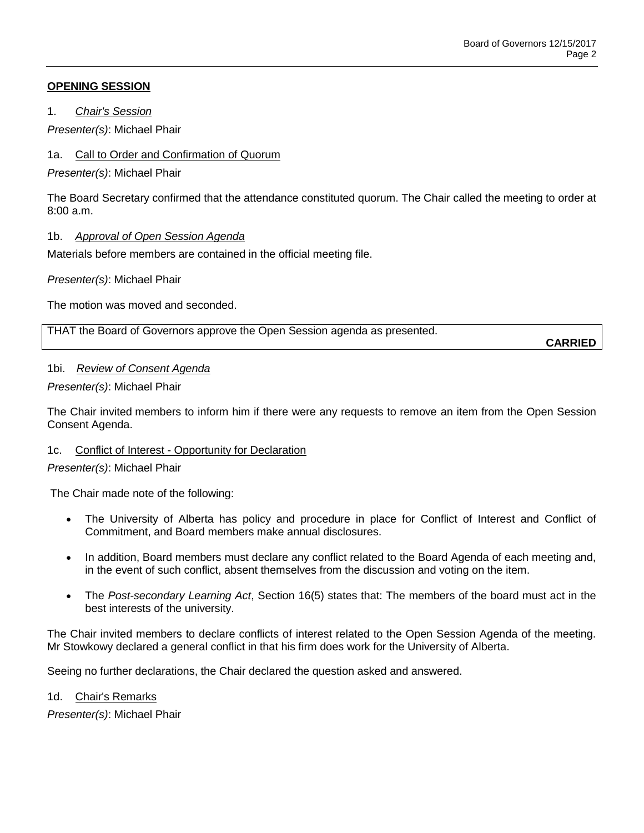### **OPENING SESSION**

1. *Chair's Session*

*Presenter(s)*: Michael Phair

### 1a. Call to Order and Confirmation of Quorum

*Presenter(s)*: Michael Phair

The Board Secretary confirmed that the attendance constituted quorum. The Chair called the meeting to order at  $8:00a \, m$ 

### 1b. *Approval of Open Session Agenda*

Materials before members are contained in the official meeting file.

*Presenter(s)*: Michael Phair

The motion was moved and seconded.

THAT the Board of Governors approve the Open Session agenda as presented.

**CARRIED**

### 1bi. *Review of Consent Agenda*

### *Presenter(s)*: Michael Phair

The Chair invited members to inform him if there were any requests to remove an item from the Open Session Consent Agenda.

### 1c. Conflict of Interest - Opportunity for Declaration

### *Presenter(s)*: Michael Phair

The Chair made note of the following:

- The University of Alberta has policy and procedure in place for Conflict of Interest and Conflict of Commitment, and Board members make annual disclosures.
- In addition, Board members must declare any conflict related to the Board Agenda of each meeting and, in the event of such conflict, absent themselves from the discussion and voting on the item.
- The *Post-secondary Learning Act*, Section 16(5) states that: The members of the board must act in the best interests of the university.

The Chair invited members to declare conflicts of interest related to the Open Session Agenda of the meeting. Mr Stowkowy declared a general conflict in that his firm does work for the University of Alberta.

Seeing no further declarations, the Chair declared the question asked and answered.

### 1d. Chair's Remarks

*Presenter(s)*: Michael Phair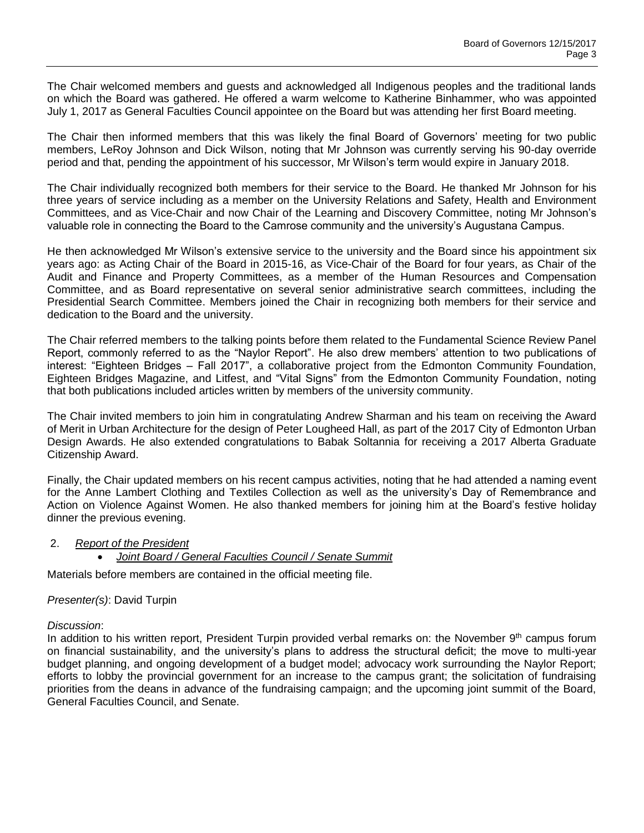The Chair welcomed members and guests and acknowledged all Indigenous peoples and the traditional lands on which the Board was gathered. He offered a warm welcome to Katherine Binhammer, who was appointed July 1, 2017 as General Faculties Council appointee on the Board but was attending her first Board meeting.

The Chair then informed members that this was likely the final Board of Governors' meeting for two public members, LeRoy Johnson and Dick Wilson, noting that Mr Johnson was currently serving his 90-day override period and that, pending the appointment of his successor, Mr Wilson's term would expire in January 2018.

The Chair individually recognized both members for their service to the Board. He thanked Mr Johnson for his three years of service including as a member on the University Relations and Safety, Health and Environment Committees, and as Vice-Chair and now Chair of the Learning and Discovery Committee, noting Mr Johnson's valuable role in connecting the Board to the Camrose community and the university's Augustana Campus.

He then acknowledged Mr Wilson's extensive service to the university and the Board since his appointment six years ago: as Acting Chair of the Board in 2015-16, as Vice-Chair of the Board for four years, as Chair of the Audit and Finance and Property Committees, as a member of the Human Resources and Compensation Committee, and as Board representative on several senior administrative search committees, including the Presidential Search Committee. Members joined the Chair in recognizing both members for their service and dedication to the Board and the university.

The Chair referred members to the talking points before them related to the Fundamental Science Review Panel Report, commonly referred to as the "Naylor Report". He also drew members' attention to two publications of interest: "Eighteen Bridges – Fall 2017", a collaborative project from the Edmonton Community Foundation, Eighteen Bridges Magazine, and Litfest, and "Vital Signs" from the Edmonton Community Foundation, noting that both publications included articles written by members of the university community.

The Chair invited members to join him in congratulating Andrew Sharman and his team on receiving the Award of Merit in Urban Architecture for the design of Peter Lougheed Hall, as part of the 2017 City of Edmonton Urban Design Awards. He also extended congratulations to Babak Soltannia for receiving a 2017 Alberta Graduate Citizenship Award.

Finally, the Chair updated members on his recent campus activities, noting that he had attended a naming event for the Anne Lambert Clothing and Textiles Collection as well as the university's Day of Remembrance and Action on Violence Against Women. He also thanked members for joining him at the Board's festive holiday dinner the previous evening.

### 2. *Report of the President*

*Joint Board / General Faculties Council / Senate Summit*

Materials before members are contained in the official meeting file.

## *Presenter(s)*: David Turpin

#### *Discussion*:

In addition to his written report, President Turpin provided verbal remarks on: the November 9<sup>th</sup> campus forum on financial sustainability, and the university's plans to address the structural deficit; the move to multi-year budget planning, and ongoing development of a budget model; advocacy work surrounding the Naylor Report; efforts to lobby the provincial government for an increase to the campus grant; the solicitation of fundraising priorities from the deans in advance of the fundraising campaign; and the upcoming joint summit of the Board, General Faculties Council, and Senate.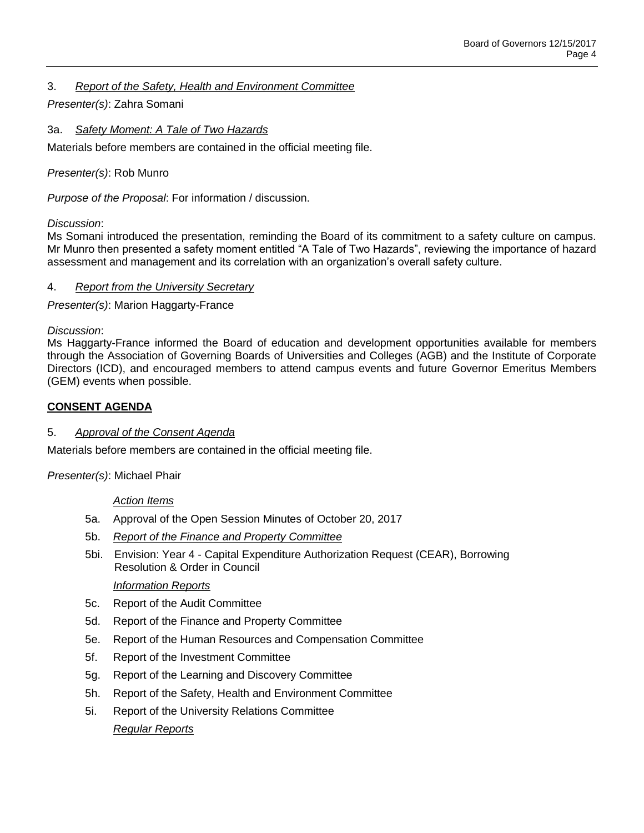### 3. *Report of the Safety, Health and Environment Committee*

### *Presenter(s)*: Zahra Somani

3a. *Safety Moment: A Tale of Two Hazards*

Materials before members are contained in the official meeting file.

### *Presenter(s)*: Rob Munro

*Purpose of the Proposal*: For information / discussion.

### *Discussion*:

Ms Somani introduced the presentation, reminding the Board of its commitment to a safety culture on campus. Mr Munro then presented a safety moment entitled "A Tale of Two Hazards", reviewing the importance of hazard assessment and management and its correlation with an organization's overall safety culture.

### 4. *Report from the University Secretary*

*Presenter(s)*: Marion Haggarty-France

*Discussion*:

Ms Haggarty-France informed the Board of education and development opportunities available for members through the Association of Governing Boards of Universities and Colleges (AGB) and the Institute of Corporate Directors (ICD), and encouraged members to attend campus events and future Governor Emeritus Members (GEM) events when possible.

### **CONSENT AGENDA**

### 5. *Approval of the Consent Agenda*

Materials before members are contained in the official meeting file.

*Presenter(s)*: Michael Phair

### *Action Items*

- 5a. Approval of the Open Session Minutes of October 20, 2017
- 5b. *Report of the Finance and Property Committee*
- 5bi. Envision: Year 4 Capital Expenditure Authorization Request (CEAR), Borrowing Resolution & Order in Council

### *Information Reports*

- 5c. Report of the Audit Committee
- 5d. Report of the Finance and Property Committee
- 5e. Report of the Human Resources and Compensation Committee
- 5f. Report of the Investment Committee
- 5g. Report of the Learning and Discovery Committee
- 5h. Report of the Safety, Health and Environment Committee
- 5i. Report of the University Relations Committee

### *Regular Reports*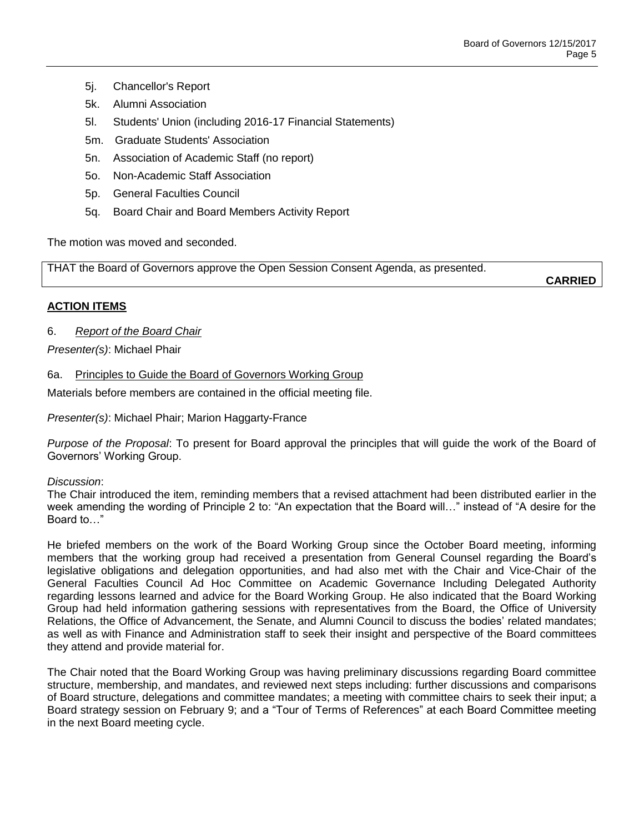- 5j. Chancellor's Report
- 5k. Alumni Association
- 5l. Students' Union (including 2016-17 Financial Statements)
- 5m. Graduate Students' Association
- 5n. Association of Academic Staff (no report)
- 5o. Non-Academic Staff Association
- 5p. General Faculties Council
- 5q. Board Chair and Board Members Activity Report

The motion was moved and seconded.

THAT the Board of Governors approve the Open Session Consent Agenda, as presented.

**CARRIED**

### **ACTION ITEMS**

6. *Report of the Board Chair*

*Presenter(s)*: Michael Phair

### 6a. Principles to Guide the Board of Governors Working Group

Materials before members are contained in the official meeting file.

*Presenter(s)*: Michael Phair; Marion Haggarty-France

*Purpose of the Proposal*: To present for Board approval the principles that will guide the work of the Board of Governors' Working Group.

### *Discussion*:

The Chair introduced the item, reminding members that a revised attachment had been distributed earlier in the week amending the wording of Principle 2 to: "An expectation that the Board will…" instead of "A desire for the Board to…"

He briefed members on the work of the Board Working Group since the October Board meeting, informing members that the working group had received a presentation from General Counsel regarding the Board's legislative obligations and delegation opportunities, and had also met with the Chair and Vice-Chair of the General Faculties Council Ad Hoc Committee on Academic Governance Including Delegated Authority regarding lessons learned and advice for the Board Working Group. He also indicated that the Board Working Group had held information gathering sessions with representatives from the Board, the Office of University Relations, the Office of Advancement, the Senate, and Alumni Council to discuss the bodies' related mandates; as well as with Finance and Administration staff to seek their insight and perspective of the Board committees they attend and provide material for.

The Chair noted that the Board Working Group was having preliminary discussions regarding Board committee structure, membership, and mandates, and reviewed next steps including: further discussions and comparisons of Board structure, delegations and committee mandates; a meeting with committee chairs to seek their input; a Board strategy session on February 9; and a "Tour of Terms of References" at each Board Committee meeting in the next Board meeting cycle.